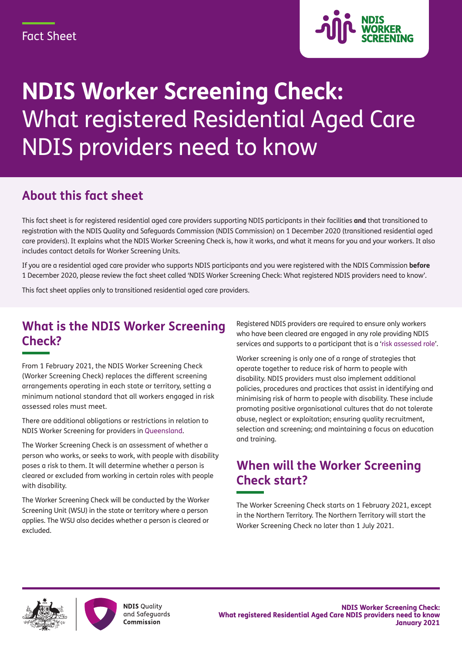

# **NDIS Worker Screening Check:** What registered Residential Aged Care NDIS providers need to know

#### **About this fact sheet**

This fact sheet is for registered residential aged care providers supporting NDIS participants in their facilities **and** that transitioned to registration with the NDIS Quality and Safeguards Commission (NDIS Commission) on 1 December 2020 (transitioned residential aged care providers). It explains what the NDIS Worker Screening Check is, how it works, and what it means for you and your workers. It also includes contact details for Worker Screening Units.

If you are a residential aged care provider who supports NDIS participants and you were registered with the NDIS Commission **before** 1 December 2020, please review the fact sheet called 'NDIS Worker Screening Check: What registered NDIS providers need to know'.

This fact sheet applies only to transitioned residential aged care providers.

#### **What is the NDIS Worker Screening Check?**

From 1 February 2021, the NDIS Worker Screening Check (Worker Screening Check) replaces the different screening arrangements operating in each state or territory, setting a minimum national standard that all workers engaged in risk assessed roles must meet.

There are additional obligations or restrictions in relation to NDIS Worker Screening for providers in [Queensland](https://www.ndiscommission.gov.au/node/371#add).

The Worker Screening Check is an assessment of whether a person who works, or seeks to work, with people with disability poses a risk to them. It will determine whether a person is cleared or excluded from working in certain roles with people with disability.

The Worker Screening Check will be conducted by the Worker Screening Unit (WSU) in the state or territory where a person applies. The WSU also decides whether a person is cleared or excluded.

Registered NDIS providers are required to ensure only workers who have been cleared are engaged in any role providing NDIS services and supports to a participant that is a '[risk assessed role'](https://www.ndiscommission.gov.au/providers/worker-screening#ide).

Worker screening is only one of a range of strategies that operate together to reduce risk of harm to people with disability. NDIS providers must also implement additional policies, procedures and practices that assist in identifying and minimising risk of harm to people with disability. These include promoting positive organisational cultures that do not tolerate abuse, neglect or exploitation; ensuring quality recruitment, selection and screening; and maintaining a focus on education and training.

#### **When will the Worker Screening Check start?**

The Worker Screening Check starts on 1 February 2021, except in the Northern Territory. The Northern Territory will start the Worker Screening Check no later than 1 July 2021.



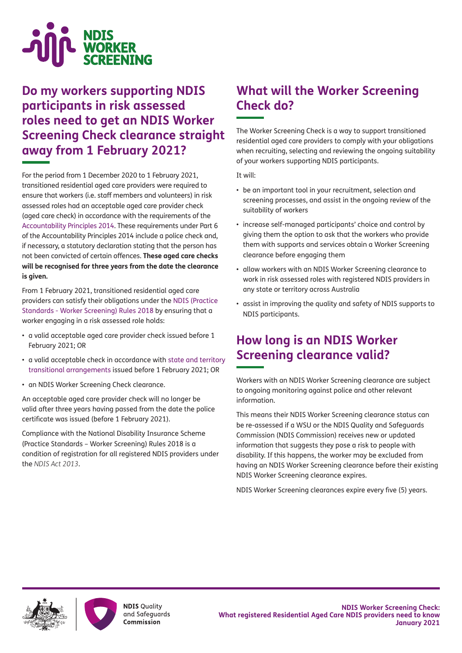

#### **Do my workers supporting NDIS participants in risk assessed roles need to get an NDIS Worker Screening Check clearance straight away from 1 February 2021?**

For the period from 1 December 2020 to 1 February 2021, transitioned residential aged care providers were required to ensure that workers (i.e. staff members and volunteers) in risk assessed roles had an acceptable aged care provider check (aged care check) in accordance with the requirements of the [Accountability Principles 2014](https://www.legislation.gov.au/Details/F2020C00068). These requirements under Part 6 of the Accountability Principles 2014 include a police check and, if necessary, a statutory declaration stating that the person has not been convicted of certain offences. **These aged care checks will be recognised for three years from the date the clearance is given.**

From 1 February 2021, transitioned residential aged care providers can satisfy their obligations under the [NDIS \(Practice](https://www.legislation.gov.au/Details/F2020C01138)  [Standards - Worker Screening\) Rules 2018](https://www.legislation.gov.au/Details/F2020C01138) by ensuring that a worker engaging in a risk assessed role holds:

- a valid acceptable aged care provider check issued before 1 February 2021; OR
- a valid acceptable check in accordance with [state and territory](https://www.ndiscommission.gov.au/providers/worker-screening/interimarrangements) [transitional arrangements](https://www.ndiscommission.gov.au/providers/worker-screening/interimarrangements) issued before 1 February 2021; OR
- an NDIS Worker Screening Check clearance.

An acceptable aged care provider check will no longer be valid after three years having passed from the date the police certificate was issued (before 1 February 2021).

Compliance with the National Disability Insurance Scheme (Practice Standards – Worker Screening) Rules 2018 is a condition of registration for all registered NDIS providers under the *NDIS Act 2013*.

### **What will the Worker Screening Check do?**

The Worker Screening Check is a way to support transitioned residential aged care providers to comply with your obligations when recruiting, selecting and reviewing the ongoing suitability of your workers supporting NDIS participants.

It will:

- be an important tool in your recruitment, selection and screening processes, and assist in the ongoing review of the suitability of workers
- increase self-managed participants' choice and control by giving them the option to ask that the workers who provide them with supports and services obtain a Worker Screening clearance before engaging them
- allow workers with an NDIS Worker Screening clearance to work in risk assessed roles with registered NDIS providers in any state or territory across Australia
- assist in improving the quality and safety of NDIS supports to NDIS participants.

#### **How long is an NDIS Worker Screening clearance valid?**

Workers with an NDIS Worker Screening clearance are subject to ongoing monitoring against police and other relevant information.

This means their NDIS Worker Screening clearance status can be re-assessed if a WSU or the NDIS Quality and Safeguards Commission (NDIS Commission) receives new or updated information that suggests they pose a risk to people with disability. If this happens, the worker may be excluded from having an NDIS Worker Screening clearance before their existing NDIS Worker Screening clearance expires.

NDIS Worker Screening clearances expire every five (5) years.



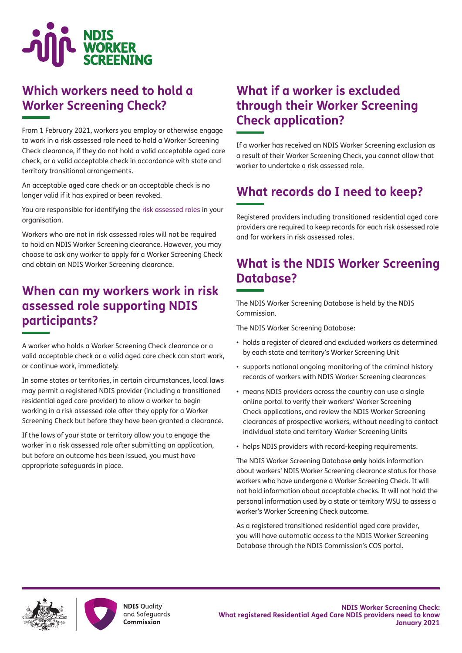

#### **Which workers need to hold a Worker Screening Check?**

From 1 February 2021, workers you employ or otherwise engage to work in a risk assessed role need to hold a Worker Screening Check clearance, if they do not hold a valid acceptable aged care check, or a valid acceptable check in accordance with state and territory transitional arrangements.

An acceptable aged care check or an acceptable check is no longer valid if it has expired or been revoked.

You are responsible for identifying the [risk assessed roles](https://www.ndiscommission.gov.au/providers/worker-screening#ide) in your organisation.

Workers who are not in risk assessed roles will not be required to hold an NDIS Worker Screening clearance. However, you may choose to ask any worker to apply for a Worker Screening Check and obtain an NDIS Worker Screening clearance.

#### **When can my workers work in risk assessed role supporting NDIS participants?**

A worker who holds a Worker Screening Check clearance or a valid acceptable check or a valid aged care check can start work, or continue work, immediately.

In some states or territories, in certain circumstances, local laws may permit a registered NDIS provider (including a transitioned residential aged care provider) to allow a worker to begin working in a risk assessed role after they apply for a Worker Screening Check but before they have been granted a clearance.

If the laws of your state or territory allow you to engage the worker in a risk assessed role after submitting an application, but before an outcome has been issued, you must have appropriate safeguards in place.

#### **What if a worker is excluded through their Worker Screening Check application?**

If a worker has received an NDIS Worker Screening exclusion as a result of their Worker Screening Check, you cannot allow that worker to undertake a risk assessed role.

## **What records do I need to keep?**

Registered providers including transitioned residential aged care providers are required to keep records for each risk assessed role and for workers in risk assessed roles.

### **What is the NDIS Worker Screening Database?**

The NDIS Worker Screening Database is held by the NDIS Commission.

The NDIS Worker Screening Database:

- holds a register of cleared and excluded workers as determined by each state and territory's Worker Screening Unit
- supports national ongoing monitoring of the criminal history records of workers with NDIS Worker Screening clearances
- means NDIS providers across the country can use a single online portal to verify their workers' Worker Screening Check applications, and review the NDIS Worker Screening clearances of prospective workers, without needing to contact individual state and territory Worker Screening Units
- helps NDIS providers with record-keeping requirements.

The NDIS Worker Screening Database **only** holds information about workers' NDIS Worker Screening clearance status for those workers who have undergone a Worker Screening Check. It will not hold information about acceptable checks. It will not hold the personal information used by a state or territory WSU to assess a worker's Worker Screening Check outcome.

As a registered transitioned residential aged care provider, you will have automatic access to the NDIS Worker Screening Database through the NDIS Commission's COS portal.